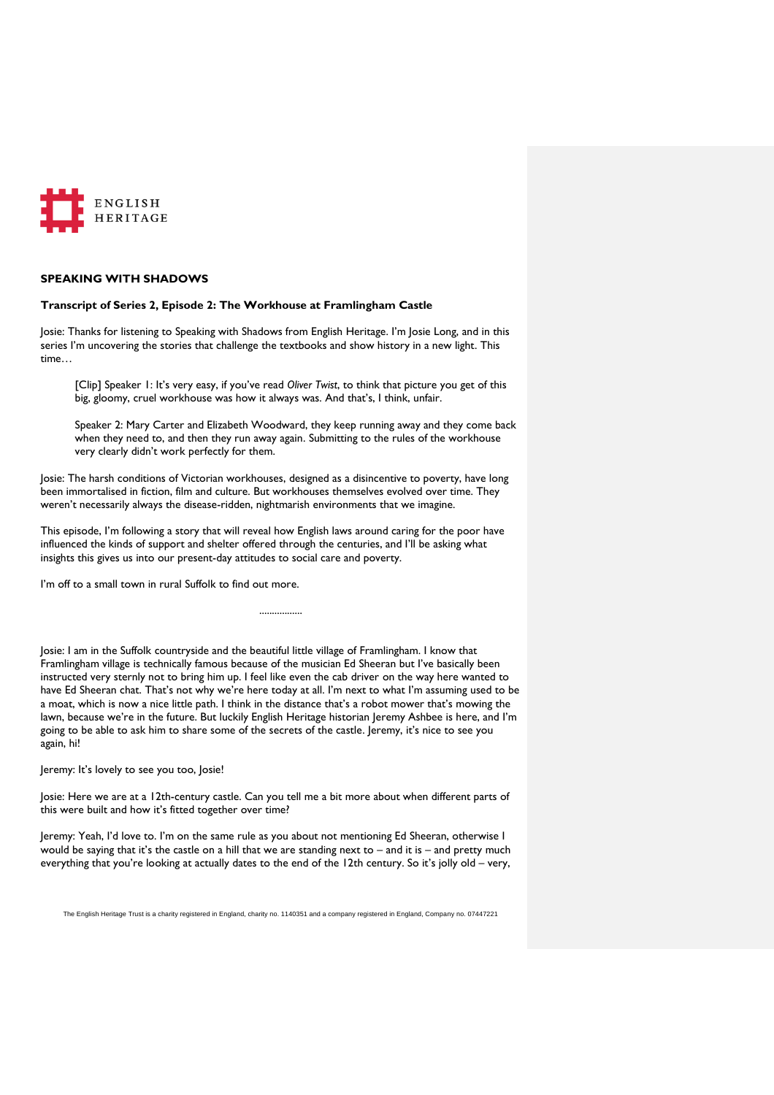

# **SPEAKING WITH SHADOWS**

### **Transcript of Series 2, Episode 2: The Workhouse at Framlingham Castle**

Josie: Thanks for listening to Speaking with Shadows from English Heritage. I'm Josie Long, and in this series I'm uncovering the stories that challenge the textbooks and show history in a new light. This time…

[Clip] Speaker 1: It's very easy, if you've read *Oliver Twist*, to think that picture you get of this big, gloomy, cruel workhouse was how it always was. And that's, I think, unfair.

Speaker 2: Mary Carter and Elizabeth Woodward, they keep running away and they come back when they need to, and then they run away again. Submitting to the rules of the workhouse very clearly didn't work perfectly for them.

Josie: The harsh conditions of Victorian workhouses, designed as a disincentive to poverty, have long been immortalised in fiction, film and culture. But workhouses themselves evolved over time. They weren't necessarily always the disease-ridden, nightmarish environments that we imagine.

This episode, I'm following a story that will reveal how English laws around caring for the poor have influenced the kinds of support and shelter offered through the centuries, and I'll be asking what insights this gives us into our present-day attitudes to social care and poverty.

I'm off to a small town in rural Suffolk to find out more.

Josie: I am in the Suffolk countryside and the beautiful little village of Framlingham. I know that Framlingham village is technically famous because of the musician Ed Sheeran but I've basically been instructed very sternly not to bring him up. I feel like even the cab driver on the way here wanted to have Ed Sheeran chat. That's not why we're here today at all. I'm next to what I'm assuming used to be a moat, which is now a nice little path. I think in the distance that's a robot mower that's mowing the lawn, because we're in the future. But luckily English Heritage historian Jeremy Ashbee is here, and I'm going to be able to ask him to share some of the secrets of the castle. Jeremy, it's nice to see you again, hi!

.................

Jeremy: It's lovely to see you too, Josie!

Josie: Here we are at a 12th-century castle. Can you tell me a bit more about when different parts of this were built and how it's fitted together over time?

Jeremy: Yeah, I'd love to. I'm on the same rule as you about not mentioning Ed Sheeran, otherwise I would be saying that it's the castle on a hill that we are standing next to – and it is – and pretty much everything that you're looking at actually dates to the end of the 12th century. So it's jolly old – very,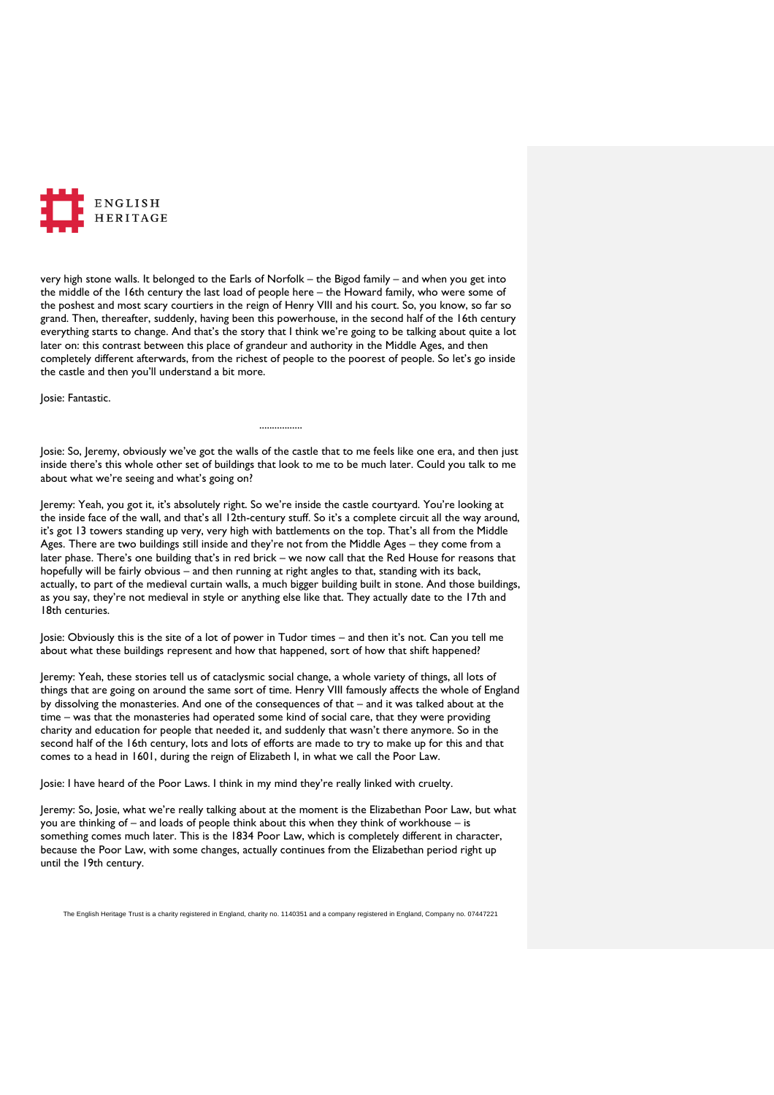

very high stone walls. It belonged to the Earls of Norfolk – the Bigod family – and when you get into the middle of the 16th century the last load of people here – the Howard family, who were some of the poshest and most scary courtiers in the reign of Henry VIII and his court. So, you know, so far so grand. Then, thereafter, suddenly, having been this powerhouse, in the second half of the 16th century everything starts to change. And that's the story that I think we're going to be talking about quite a lot later on: this contrast between this place of grandeur and authority in the Middle Ages, and then completely different afterwards, from the richest of people to the poorest of people. So let's go inside the castle and then you'll understand a bit more.

Josie: Fantastic.

Josie: So, Jeremy, obviously we've got the walls of the castle that to me feels like one era, and then just inside there's this whole other set of buildings that look to me to be much later. Could you talk to me about what we're seeing and what's going on?

.................

Jeremy: Yeah, you got it, it's absolutely right. So we're inside the castle courtyard. You're looking at the inside face of the wall, and that's all 12th-century stuff. So it's a complete circuit all the way around, it's got 13 towers standing up very, very high with battlements on the top. That's all from the Middle Ages. There are two buildings still inside and they're not from the Middle Ages – they come from a later phase. There's one building that's in red brick – we now call that the Red House for reasons that hopefully will be fairly obvious – and then running at right angles to that, standing with its back, actually, to part of the medieval curtain walls, a much bigger building built in stone. And those buildings, as you say, they're not medieval in style or anything else like that. They actually date to the 17th and 18th centuries.

Josie: Obviously this is the site of a lot of power in Tudor times – and then it's not. Can you tell me about what these buildings represent and how that happened, sort of how that shift happened?

Jeremy: Yeah, these stories tell us of cataclysmic social change, a whole variety of things, all lots of things that are going on around the same sort of time. Henry VIII famously affects the whole of England by dissolving the monasteries. And one of the consequences of that – and it was talked about at the time – was that the monasteries had operated some kind of social care, that they were providing charity and education for people that needed it, and suddenly that wasn't there anymore. So in the second half of the 16th century, lots and lots of efforts are made to try to make up for this and that comes to a head in 1601, during the reign of Elizabeth I, in what we call the Poor Law.

Josie: I have heard of the Poor Laws. I think in my mind they're really linked with cruelty.

Jeremy: So, Josie, what we're really talking about at the moment is the Elizabethan Poor Law, but what you are thinking of – and loads of people think about this when they think of workhouse – is something comes much later. This is the 1834 Poor Law, which is completely different in character, because the Poor Law, with some changes, actually continues from the Elizabethan period right up until the 19th century.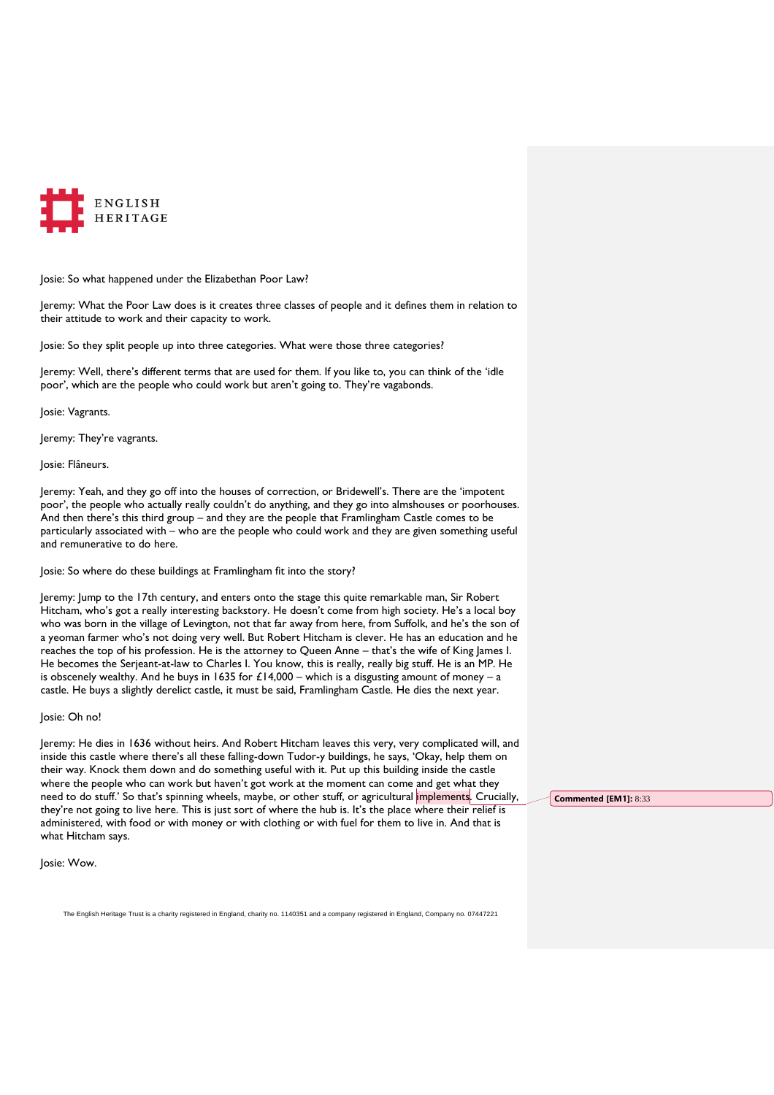

Josie: So what happened under the Elizabethan Poor Law?

Jeremy: What the Poor Law does is it creates three classes of people and it defines them in relation to their attitude to work and their capacity to work.

Josie: So they split people up into three categories. What were those three categories?

Jeremy: Well, there's different terms that are used for them. If you like to, you can think of the 'idle poor', which are the people who could work but aren't going to. They're vagabonds.

Josie: Vagrants.

Jeremy: They're vagrants.

Josie: Flâneurs.

Jeremy: Yeah, and they go off into the houses of correction, or Bridewell's. There are the 'impotent poor', the people who actually really couldn't do anything, and they go into almshouses or poorhouses. And then there's this third group – and they are the people that Framlingham Castle comes to be particularly associated with – who are the people who could work and they are given something useful and remunerative to do here.

Josie: So where do these buildings at Framlingham fit into the story?

Jeremy: Jump to the 17th century, and enters onto the stage this quite remarkable man, Sir Robert Hitcham, who's got a really interesting backstory. He doesn't come from high society. He's a local boy who was born in the village of Levington, not that far away from here, from Suffolk, and he's the son of a yeoman farmer who's not doing very well. But Robert Hitcham is clever. He has an education and he reaches the top of his profession. He is the attorney to Queen Anne – that's the wife of King James I. He becomes the Serjeant-at-law to Charles I. You know, this is really, really big stuff. He is an MP. He is obscenely wealthy. And he buys in 1635 for  $£14,000 -$  which is a disgusting amount of money - a castle. He buys a slightly derelict castle, it must be said, Framlingham Castle. He dies the next year.

## Josie: Oh no!

Jeremy: He dies in 1636 without heirs. And Robert Hitcham leaves this very, very complicated will, and inside this castle where there's all these falling-down Tudor-y buildings, he says, 'Okay, help them on their way. Knock them down and do something useful with it. Put up this building inside the castle where the people who can work but haven't got work at the moment can come and get what they need to do stuff.' So that's spinning wheels, maybe, or other stuff, or agricultural implements. Crucially, they're not going to live here. This is just sort of where the hub is. It's the place where their relief is administered, with food or with money or with clothing or with fuel for them to live in. And that is what Hitcham says.

Josie: Wow.

The English Heritage Trust is a charity registered in England, charity no. 1140351 and a company registered in England, Company no. 07447221

**Commented [EM1]:** 8:33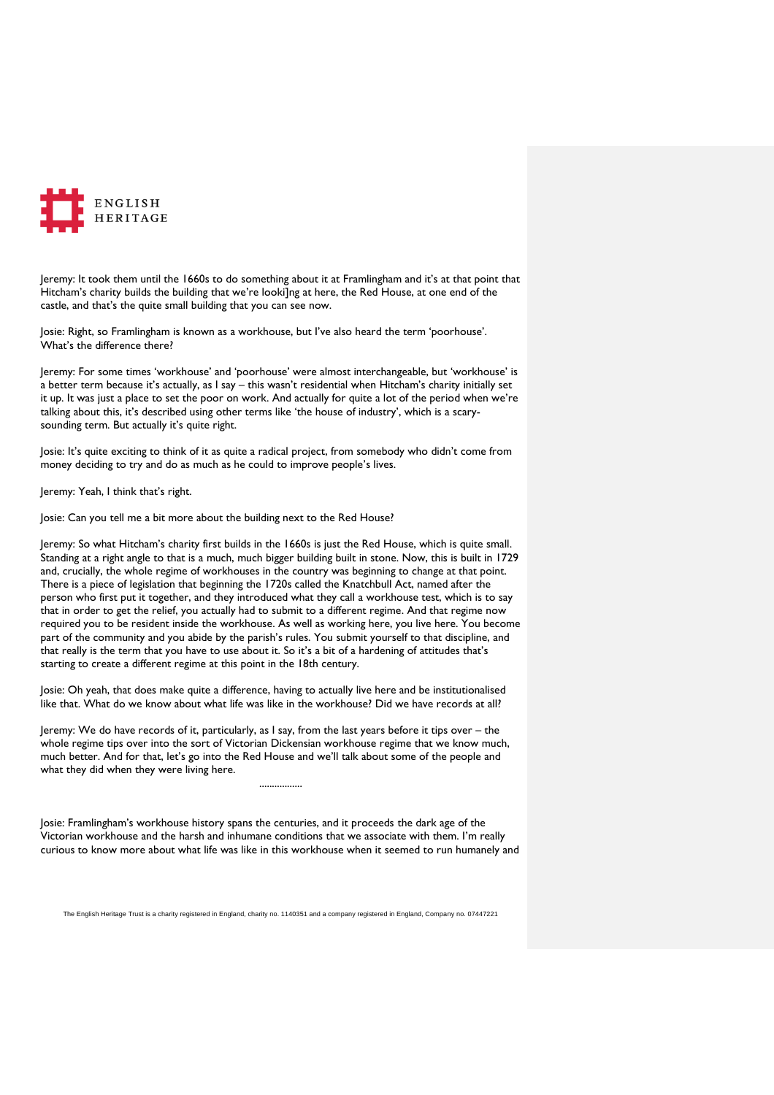

Jeremy: It took them until the 1660s to do something about it at Framlingham and it's at that point that Hitcham's charity builds the building that we're looki]ng at here, the Red House, at one end of the castle, and that's the quite small building that you can see now.

Josie: Right, so Framlingham is known as a workhouse, but I've also heard the term 'poorhouse'. What's the difference there?

Jeremy: For some times 'workhouse' and 'poorhouse' were almost interchangeable, but 'workhouse' is a better term because it's actually, as I say – this wasn't residential when Hitcham's charity initially set it up. It was just a place to set the poor on work. And actually for quite a lot of the period when we're talking about this, it's described using other terms like 'the house of industry', which is a scarysounding term. But actually it's quite right.

Josie: It's quite exciting to think of it as quite a radical project, from somebody who didn't come from money deciding to try and do as much as he could to improve people's lives.

Jeremy: Yeah, I think that's right.

Josie: Can you tell me a bit more about the building next to the Red House?

Jeremy: So what Hitcham's charity first builds in the 1660s is just the Red House, which is quite small. Standing at a right angle to that is a much, much bigger building built in stone. Now, this is built in 1729 and, crucially, the whole regime of workhouses in the country was beginning to change at that point. There is a piece of legislation that beginning the 1720s called the Knatchbull Act, named after the person who first put it together, and they introduced what they call a workhouse test, which is to say that in order to get the relief, you actually had to submit to a different regime. And that regime now required you to be resident inside the workhouse. As well as working here, you live here. You become part of the community and you abide by the parish's rules. You submit yourself to that discipline, and that really is the term that you have to use about it. So it's a bit of a hardening of attitudes that's starting to create a different regime at this point in the 18th century.

Josie: Oh yeah, that does make quite a difference, having to actually live here and be institutionalised like that. What do we know about what life was like in the workhouse? Did we have records at all?

Jeremy: We do have records of it, particularly, as I say, from the last years before it tips over – the whole regime tips over into the sort of Victorian Dickensian workhouse regime that we know much, much better. And for that, let's go into the Red House and we'll talk about some of the people and what they did when they were living here.

Josie: Framlingham's workhouse history spans the centuries, and it proceeds the dark age of the Victorian workhouse and the harsh and inhumane conditions that we associate with them. I'm really curious to know more about what life was like in this workhouse when it seemed to run humanely and

.................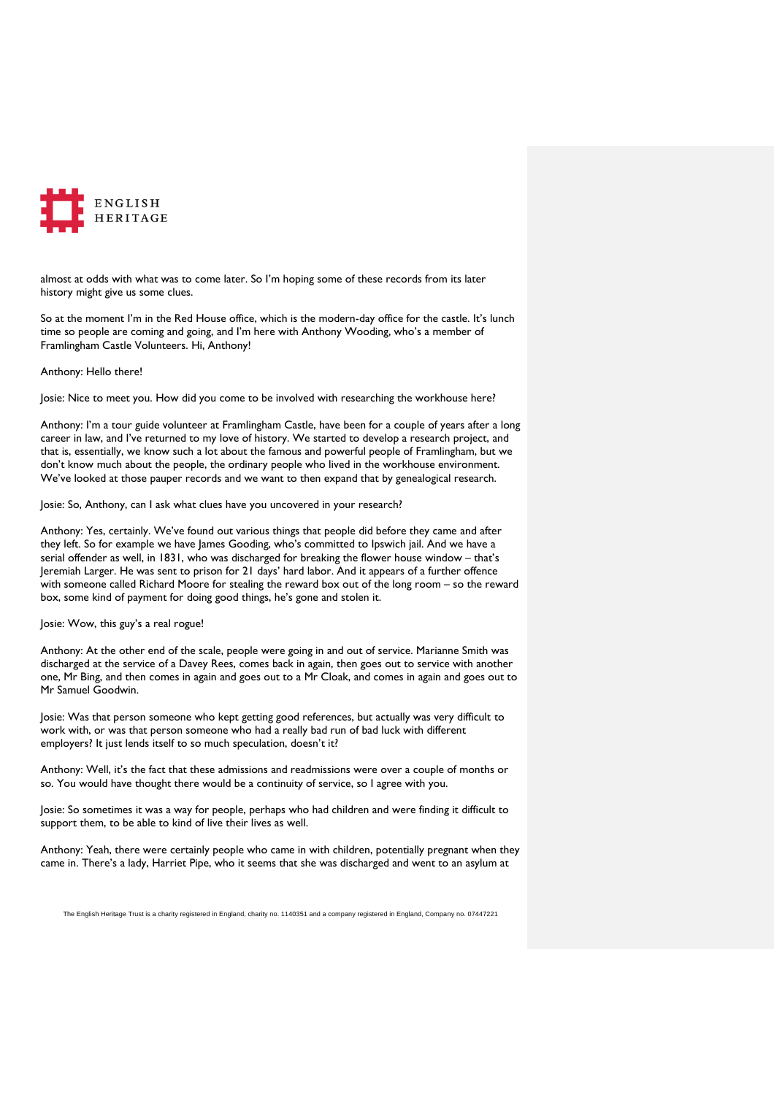

almost at odds with what was to come later. So I'm hoping some of these records from its later history might give us some clues.

So at the moment I'm in the Red House office, which is the modern-day office for the castle. It's lunch time so people are coming and going, and I'm here with Anthony Wooding, who's a member of Framlingham Castle Volunteers. Hi, Anthony!

Anthony: Hello there!

Josie: Nice to meet you. How did you come to be involved with researching the workhouse here?

Anthony: I'm a tour guide volunteer at Framlingham Castle, have been for a couple of years after a long career in law, and I've returned to my love of history. We started to develop a research project, and that is, essentially, we know such a lot about the famous and powerful people of Framlingham, but we don't know much about the people, the ordinary people who lived in the workhouse environment. We've looked at those pauper records and we want to then expand that by genealogical research.

Josie: So, Anthony, can I ask what clues have you uncovered in your research?

Anthony: Yes, certainly. We've found out various things that people did before they came and after they left. So for example we have James Gooding, who's committed to Ipswich jail. And we have a serial offender as well, in 1831, who was discharged for breaking the flower house window – that's Jeremiah Larger. He was sent to prison for 21 days' hard labor. And it appears of a further offence with someone called Richard Moore for stealing the reward box out of the long room – so the reward box, some kind of payment for doing good things, he's gone and stolen it.

Josie: Wow, this guy's a real rogue!

Anthony: At the other end of the scale, people were going in and out of service. Marianne Smith was discharged at the service of a Davey Rees, comes back in again, then goes out to service with another one, Mr Bing, and then comes in again and goes out to a Mr Cloak, and comes in again and goes out to Mr Samuel Goodwin.

Josie: Was that person someone who kept getting good references, but actually was very difficult to work with, or was that person someone who had a really bad run of bad luck with different employers? It just lends itself to so much speculation, doesn't it?

Anthony: Well, it's the fact that these admissions and readmissions were over a couple of months or so. You would have thought there would be a continuity of service, so I agree with you.

Josie: So sometimes it was a way for people, perhaps who had children and were finding it difficult to support them, to be able to kind of live their lives as well.

Anthony: Yeah, there were certainly people who came in with children, potentially pregnant when they came in. There's a lady, Harriet Pipe, who it seems that she was discharged and went to an asylum at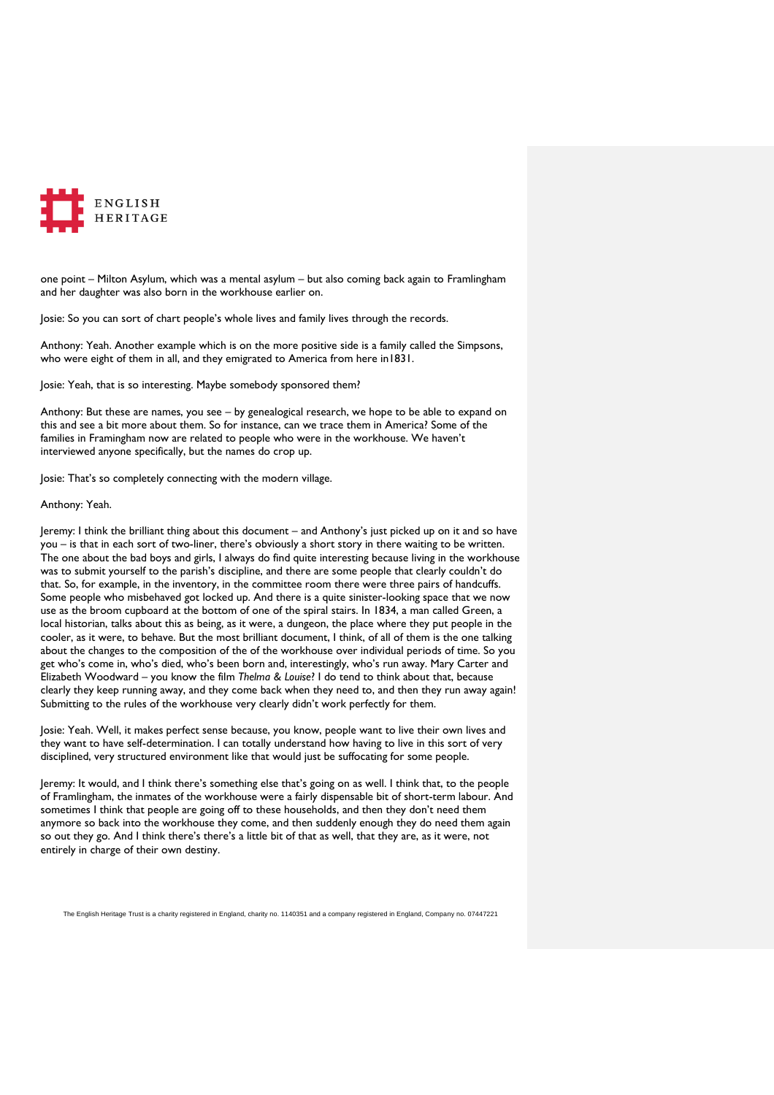

one point – Milton Asylum, which was a mental asylum – but also coming back again to Framlingham and her daughter was also born in the workhouse earlier on.

Josie: So you can sort of chart people's whole lives and family lives through the records.

Anthony: Yeah. Another example which is on the more positive side is a family called the Simpsons, who were eight of them in all, and they emigrated to America from here in1831.

Josie: Yeah, that is so interesting. Maybe somebody sponsored them?

Anthony: But these are names, you see – by genealogical research, we hope to be able to expand on this and see a bit more about them. So for instance, can we trace them in America? Some of the families in Framingham now are related to people who were in the workhouse. We haven't interviewed anyone specifically, but the names do crop up.

Josie: That's so completely connecting with the modern village.

### Anthony: Yeah.

Jeremy: I think the brilliant thing about this document – and Anthony's just picked up on it and so have you – is that in each sort of two-liner, there's obviously a short story in there waiting to be written. The one about the bad boys and girls, I always do find quite interesting because living in the workhouse was to submit yourself to the parish's discipline, and there are some people that clearly couldn't do that. So, for example, in the inventory, in the committee room there were three pairs of handcuffs. Some people who misbehaved got locked up. And there is a quite sinister-looking space that we now use as the broom cupboard at the bottom of one of the spiral stairs. In 1834, a man called Green, a local historian, talks about this as being, as it were, a dungeon, the place where they put people in the cooler, as it were, to behave. But the most brilliant document, I think, of all of them is the one talking about the changes to the composition of the of the workhouse over individual periods of time. So you get who's come in, who's died, who's been born and, interestingly, who's run away. Mary Carter and Elizabeth Woodward – you know the film *Thelma & Louise*? I do tend to think about that, because clearly they keep running away, and they come back when they need to, and then they run away again! Submitting to the rules of the workhouse very clearly didn't work perfectly for them.

Josie: Yeah. Well, it makes perfect sense because, you know, people want to live their own lives and they want to have self-determination. I can totally understand how having to live in this sort of very disciplined, very structured environment like that would just be suffocating for some people.

Jeremy: It would, and I think there's something else that's going on as well. I think that, to the people of Framlingham, the inmates of the workhouse were a fairly dispensable bit of short-term labour. And sometimes I think that people are going off to these households, and then they don't need them anymore so back into the workhouse they come, and then suddenly enough they do need them again so out they go. And I think there's there's a little bit of that as well, that they are, as it were, not entirely in charge of their own destiny.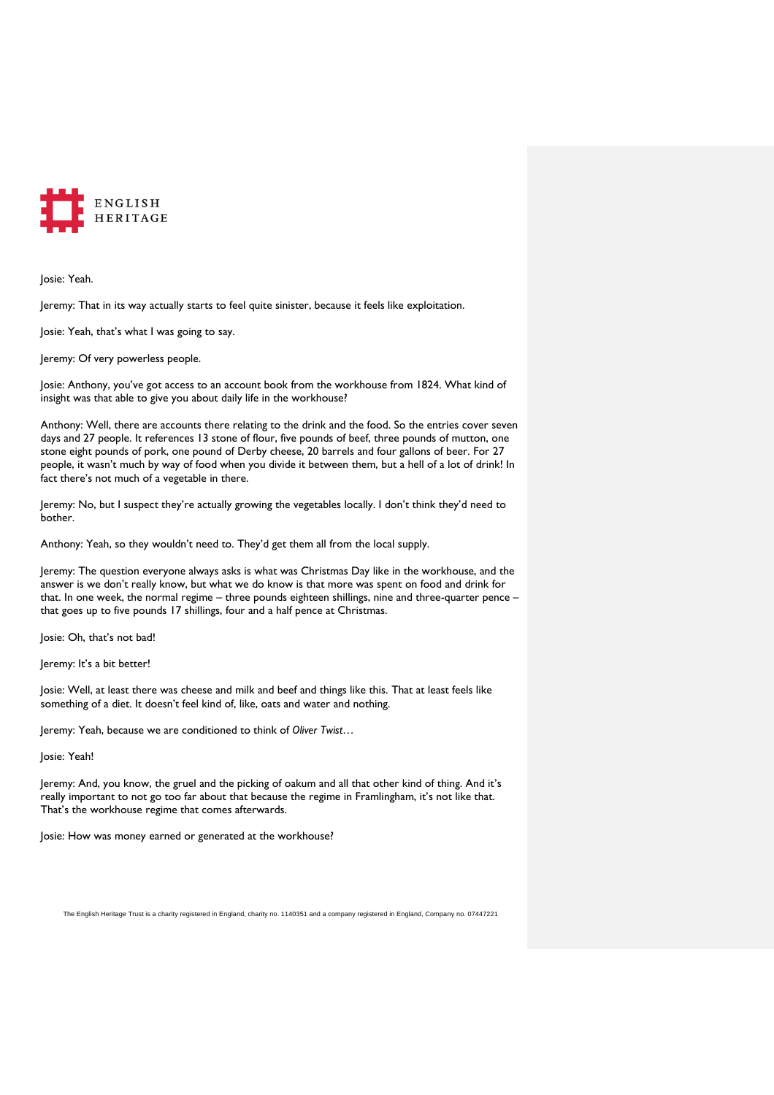

Josie: Yeah.

Jeremy: That in its way actually starts to feel quite sinister, because it feels like exploitation.

Josie: Yeah, that's what I was going to say.

Jeremy: Of very powerless people.

Josie: Anthony, you've got access to an account book from the workhouse from 1824. What kind of insight was that able to give you about daily life in the workhouse?

Anthony: Well, there are accounts there relating to the drink and the food. So the entries cover seven days and 27 people. It references 13 stone of flour, five pounds of beef, three pounds of mutton, one stone eight pounds of pork, one pound of Derby cheese, 20 barrels and four gallons of beer. For 27 people, it wasn't much by way of food when you divide it between them, but a hell of a lot of drink! In fact there's not much of a vegetable in there.

Jeremy: No, but I suspect they're actually growing the vegetables locally. I don't think they'd need to bother.

Anthony: Yeah, so they wouldn't need to. They'd get them all from the local supply.

Jeremy: The question everyone always asks is what was Christmas Day like in the workhouse, and the answer is we don't really know, but what we do know is that more was spent on food and drink for that. In one week, the normal regime – three pounds eighteen shillings, nine and three-quarter pence – that goes up to five pounds 17 shillings, four and a half pence at Christmas.

Josie: Oh, that's not bad!

Jeremy: It's a bit better!

Josie: Well, at least there was cheese and milk and beef and things like this. That at least feels like something of a diet. It doesn't feel kind of, like, oats and water and nothing.

Jeremy: Yeah, because we are conditioned to think of *Oliver Twist*…

Josie: Yeah!

Jeremy: And, you know, the gruel and the picking of oakum and all that other kind of thing. And it's really important to not go too far about that because the regime in Framlingham, it's not like that. That's the workhouse regime that comes afterwards.

Josie: How was money earned or generated at the workhouse?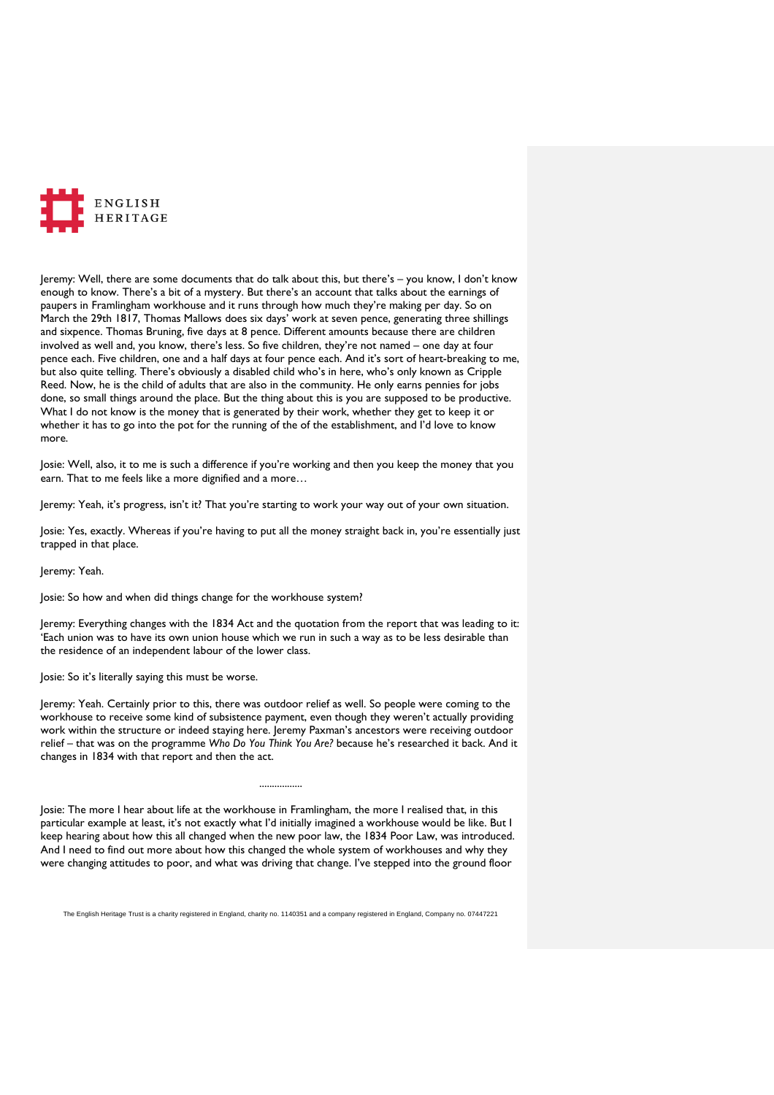

Jeremy: Well, there are some documents that do talk about this, but there's – you know, I don't know enough to know. There's a bit of a mystery. But there's an account that talks about the earnings of paupers in Framlingham workhouse and it runs through how much they're making per day. So on March the 29th 1817, Thomas Mallows does six days' work at seven pence, generating three shillings and sixpence. Thomas Bruning, five days at 8 pence. Different amounts because there are children involved as well and, you know, there's less. So five children, they're not named – one day at four pence each. Five children, one and a half days at four pence each. And it's sort of heart-breaking to me, but also quite telling. There's obviously a disabled child who's in here, who's only known as Cripple Reed. Now, he is the child of adults that are also in the community. He only earns pennies for jobs done, so small things around the place. But the thing about this is you are supposed to be productive. What I do not know is the money that is generated by their work, whether they get to keep it or whether it has to go into the pot for the running of the of the establishment, and I'd love to know more.

Josie: Well, also, it to me is such a difference if you're working and then you keep the money that you earn. That to me feels like a more dignified and a more…

Jeremy: Yeah, it's progress, isn't it? That you're starting to work your way out of your own situation.

Josie: Yes, exactly. Whereas if you're having to put all the money straight back in, you're essentially just trapped in that place.

Jeremy: Yeah.

Josie: So how and when did things change for the workhouse system?

Jeremy: Everything changes with the 1834 Act and the quotation from the report that was leading to it: 'Each union was to have its own union house which we run in such a way as to be less desirable than the residence of an independent labour of the lower class.

Josie: So it's literally saying this must be worse.

Jeremy: Yeah. Certainly prior to this, there was outdoor relief as well. So people were coming to the workhouse to receive some kind of subsistence payment, even though they weren't actually providing work within the structure or indeed staying here. Jeremy Paxman's ancestors were receiving outdoor relief – that was on the programme *Who Do You Think You Are?* because he's researched it back. And it changes in 1834 with that report and then the act.

Josie: The more I hear about life at the workhouse in Framlingham, the more I realised that, in this particular example at least, it's not exactly what I'd initially imagined a workhouse would be like. But I keep hearing about how this all changed when the new poor law, the 1834 Poor Law, was introduced. And I need to find out more about how this changed the whole system of workhouses and why they were changing attitudes to poor, and what was driving that change. I've stepped into the ground floor

.................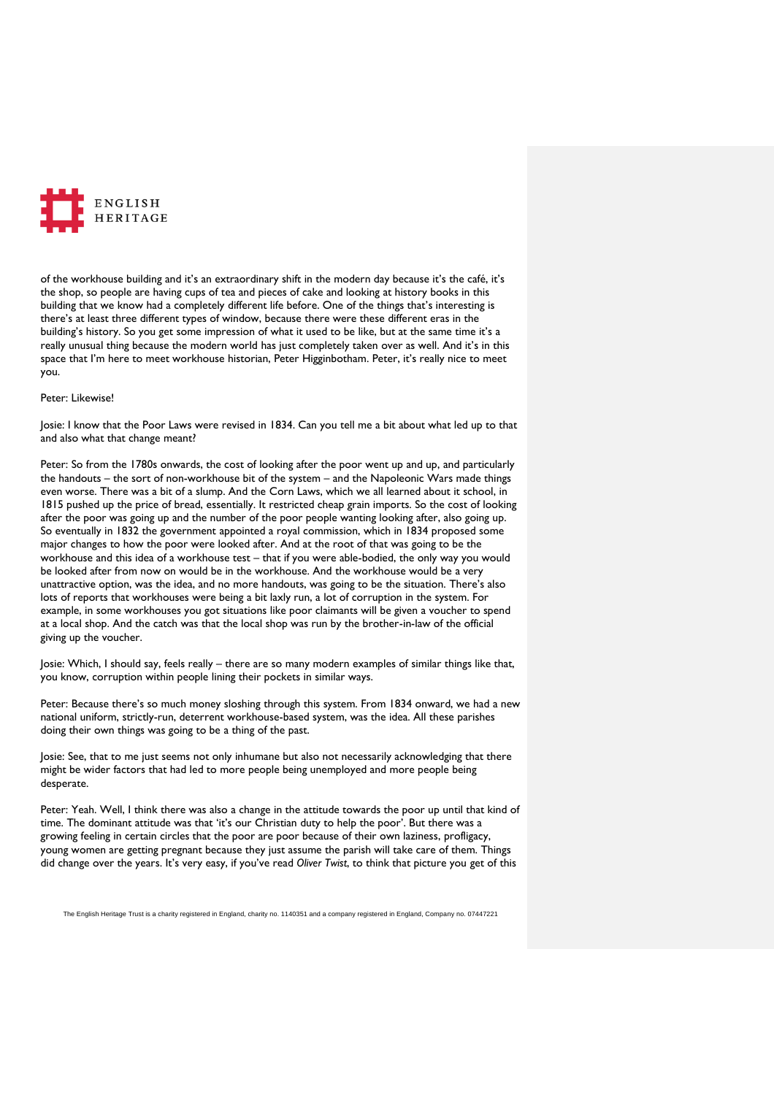

of the workhouse building and it's an extraordinary shift in the modern day because it's the café, it's the shop, so people are having cups of tea and pieces of cake and looking at history books in this building that we know had a completely different life before. One of the things that's interesting is there's at least three different types of window, because there were these different eras in the building's history. So you get some impression of what it used to be like, but at the same time it's a really unusual thing because the modern world has just completely taken over as well. And it's in this space that I'm here to meet workhouse historian, Peter Higginbotham. Peter, it's really nice to meet you.

### Peter: Likewise!

Josie: I know that the Poor Laws were revised in 1834. Can you tell me a bit about what led up to that and also what that change meant?

Peter: So from the 1780s onwards, the cost of looking after the poor went up and up, and particularly the handouts – the sort of non-workhouse bit of the system – and the Napoleonic Wars made things even worse. There was a bit of a slump. And the Corn Laws, which we all learned about it school, in 1815 pushed up the price of bread, essentially. It restricted cheap grain imports. So the cost of looking after the poor was going up and the number of the poor people wanting looking after, also going up. So eventually in 1832 the government appointed a royal commission, which in 1834 proposed some major changes to how the poor were looked after. And at the root of that was going to be the workhouse and this idea of a workhouse test – that if you were able-bodied, the only way you would be looked after from now on would be in the workhouse. And the workhouse would be a very unattractive option, was the idea, and no more handouts, was going to be the situation. There's also lots of reports that workhouses were being a bit laxly run, a lot of corruption in the system. For example, in some workhouses you got situations like poor claimants will be given a voucher to spend at a local shop. And the catch was that the local shop was run by the brother-in-law of the official giving up the voucher.

Josie: Which, I should say, feels really – there are so many modern examples of similar things like that, you know, corruption within people lining their pockets in similar ways.

Peter: Because there's so much money sloshing through this system. From 1834 onward, we had a new national uniform, strictly-run, deterrent workhouse-based system, was the idea. All these parishes doing their own things was going to be a thing of the past.

Josie: See, that to me just seems not only inhumane but also not necessarily acknowledging that there might be wider factors that had led to more people being unemployed and more people being desperate.

Peter: Yeah. Well, I think there was also a change in the attitude towards the poor up until that kind of time. The dominant attitude was that 'it's our Christian duty to help the poor'. But there was a growing feeling in certain circles that the poor are poor because of their own laziness, profligacy, young women are getting pregnant because they just assume the parish will take care of them. Things did change over the years. It's very easy, if you've read *Oliver Twist*, to think that picture you get of this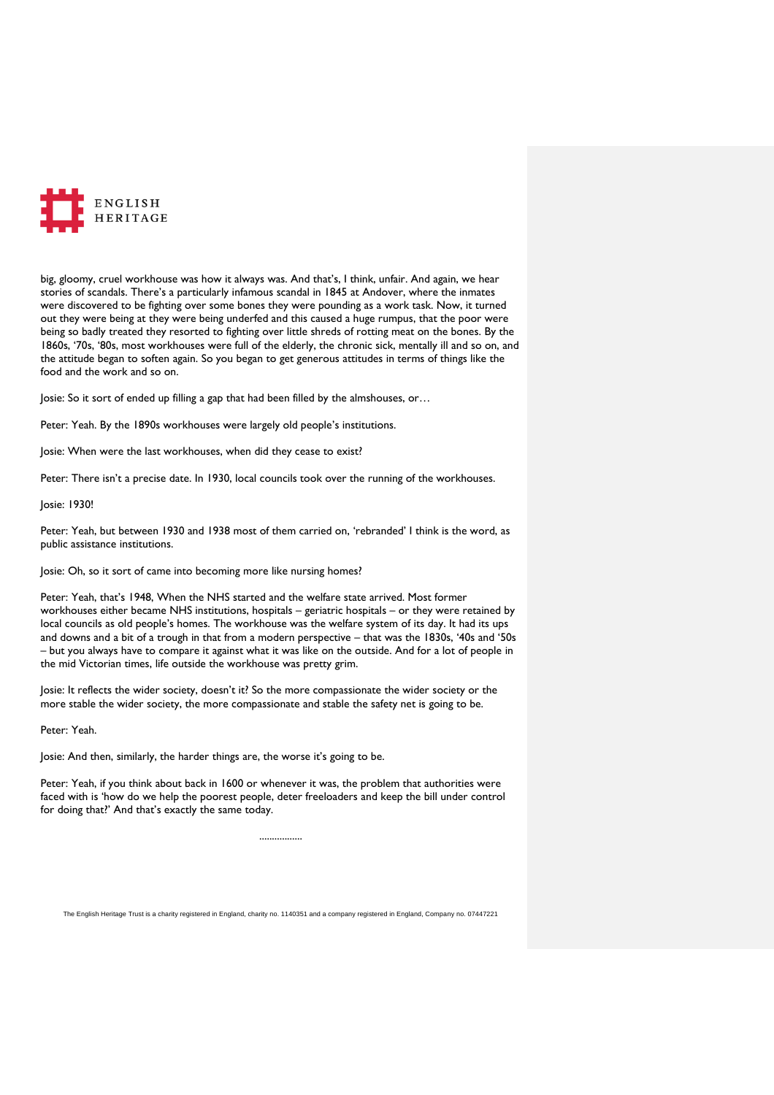

big, gloomy, cruel workhouse was how it always was. And that's, I think, unfair. And again, we hear stories of scandals. There's a particularly infamous scandal in 1845 at Andover, where the inmates were discovered to be fighting over some bones they were pounding as a work task. Now, it turned out they were being at they were being underfed and this caused a huge rumpus, that the poor were being so badly treated they resorted to fighting over little shreds of rotting meat on the bones. By the 1860s, '70s, '80s, most workhouses were full of the elderly, the chronic sick, mentally ill and so on, and the attitude began to soften again. So you began to get generous attitudes in terms of things like the food and the work and so on.

Josie: So it sort of ended up filling a gap that had been filled by the almshouses, or…

Peter: Yeah. By the 1890s workhouses were largely old people's institutions.

Josie: When were the last workhouses, when did they cease to exist?

Peter: There isn't a precise date. In 1930, local councils took over the running of the workhouses.

Josie: 1930!

Peter: Yeah, but between 1930 and 1938 most of them carried on, 'rebranded' I think is the word, as public assistance institutions.

Josie: Oh, so it sort of came into becoming more like nursing homes?

Peter: Yeah, that's 1948, When the NHS started and the welfare state arrived. Most former workhouses either became NHS institutions, hospitals – geriatric hospitals – or they were retained by local councils as old people's homes. The workhouse was the welfare system of its day. It had its ups and downs and a bit of a trough in that from a modern perspective – that was the 1830s, '40s and '50s – but you always have to compare it against what it was like on the outside. And for a lot of people in the mid Victorian times, life outside the workhouse was pretty grim.

Josie: It reflects the wider society, doesn't it? So the more compassionate the wider society or the more stable the wider society, the more compassionate and stable the safety net is going to be.

Peter: Yeah.

Josie: And then, similarly, the harder things are, the worse it's going to be.

Peter: Yeah, if you think about back in 1600 or whenever it was, the problem that authorities were faced with is 'how do we help the poorest people, deter freeloaders and keep the bill under control for doing that?' And that's exactly the same today.

.................